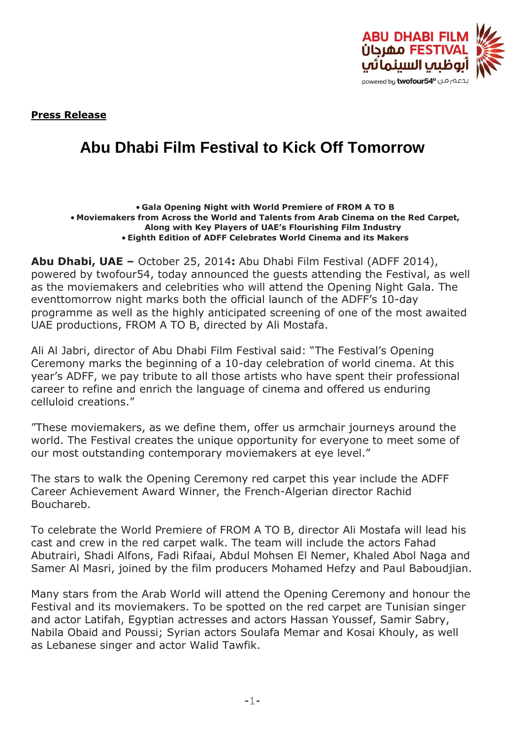

**Press Release**

## **Abu Dhabi Film Festival to Kick Off Tomorrow**

## **Gala Opening Night with World Premiere of FROM A TO B Moviemakers from Across the World and Talents from Arab Cinema on the Red Carpet, Along with Key Players of UAE's Flourishing Film Industry Eighth Edition of ADFF Celebrates World Cinema and its Makers**

**Abu Dhabi, UAE –** October 25, 2014**:** Abu Dhabi Film Festival (ADFF 2014), powered by twofour54, today announced the guests attending the Festival, as well as the moviemakers and celebrities who will attend the Opening Night Gala. The eventtomorrow night marks both the official launch of the ADFF's 10-day programme as well as the highly anticipated screening of one of the most awaited UAE productions, FROM A TO B, directed by Ali Mostafa.

Ali Al Jabri, director of Abu Dhabi Film Festival said: "The Festival's Opening Ceremony marks the beginning of a 10-day celebration of world cinema. At this year's ADFF, we pay tribute to all those artists who have spent their professional career to refine and enrich the language of cinema and offered us enduring celluloid creations."

"These moviemakers, as we define them, offer us armchair journeys around the world. The Festival creates the unique opportunity for everyone to meet some of our most outstanding contemporary moviemakers at eye level."

The stars to walk the Opening Ceremony red carpet this year include the ADFF Career Achievement Award Winner, the French-Algerian director Rachid Bouchareb.

To celebrate the World Premiere of FROM A TO B, director Ali Mostafa will lead his cast and crew in the red carpet walk. The team will include the actors Fahad Abutrairi, Shadi Alfons, Fadi Rifaai, Abdul Mohsen El Nemer, Khaled Abol Naga and Samer Al Masri, joined by the film producers Mohamed Hefzy and Paul Baboudjian.

Many stars from the Arab World will attend the Opening Ceremony and honour the Festival and its moviemakers. To be spotted on the red carpet are Tunisian singer and actor Latifah, Egyptian actresses and actors Hassan Youssef, Samir Sabry, Nabila Obaid and Poussi; Syrian actors Soulafa Memar and Kosai Khouly, as well as Lebanese singer and actor Walid Tawfik.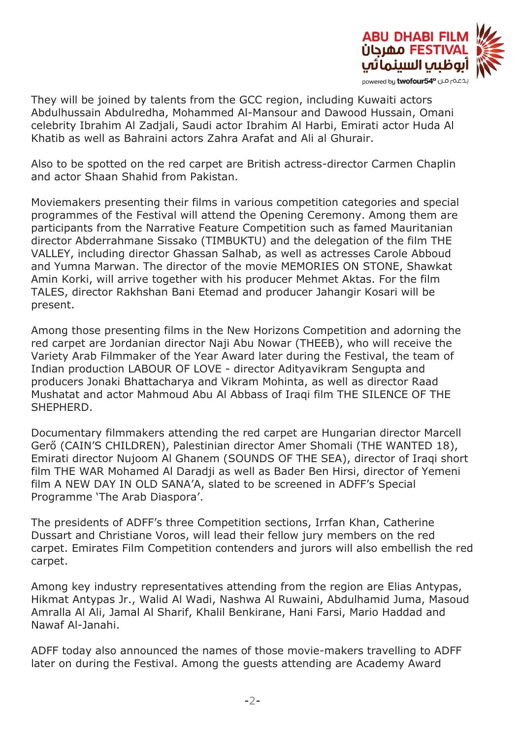

They will be joined by talents from the GCC region, including Kuwaiti actors Abdulhussain Abdulredha, Mohammed Al-Mansour and Dawood Hussain, Omani celebrity Ibrahim Al Zadjali, Saudi actor Ibrahim Al Harbi, Emirati actor Huda Al Khatib as well as Bahraini actors Zahra Arafat and Ali al Ghurair.

Also to be spotted on the red carpet are British actress-director Carmen Chaplin and actor Shaan Shahid from Pakistan.

Moviemakers presenting their films in various competition categories and special programmes of the Festival will attend the Opening Ceremony. Among them are participants from the Narrative Feature Competition such as famed Mauritanian director Abderrahmane Sissako (TIMBUKTU) and the delegation of the film THE VALLEY, including director Ghassan Salhab, as well as actresses Carole Abboud and Yumna Marwan. The director of the movie MEMORIES ON STONE, Shawkat Amin Korki, will arrive together with his producer Mehmet Aktas. For the film TALES, director Rakhshan Bani Etemad and producer Jahangir Kosari will be present.

Among those presenting films in the New Horizons Competition and adorning the red carpet are Jordanian director Naji Abu Nowar (THEEB), who will receive the Variety Arab Filmmaker of the Year Award later during the Festival, the team of Indian production LABOUR OF LOVE - director Adityavikram Sengupta and producers Jonaki Bhattacharya and Vikram Mohinta, as well as director Raad Mushatat and actor Mahmoud Abu Al Abbass of Iraqi film THE SILENCE OF THE SHEPHERD.

Documentary filmmakers attending the red carpet are Hungarian director Marcell Gerő (CAIN'S CHILDREN), Palestinian director Amer Shomali (THE WANTED 18), Emirati director Nujoom Al Ghanem (SOUNDS OF THE SEA), director of Iraqi short film THE WAR Mohamed Al Daradji as well as Bader Ben Hirsi, director of Yemeni film A NEW DAY IN OLD SANA'A, slated to be screened in ADFF's Special Programme 'The Arab Diaspora'.

The presidents of ADFF's three Competition sections, Irrfan Khan, Catherine Dussart and Christiane Voros, will lead their fellow jury members on the red carpet. Emirates Film Competition contenders and jurors will also embellish the red carpet.

Among key industry representatives attending from the region are Elias Antypas, Hikmat Antypas Jr., Walid Al Wadi, Nashwa Al Ruwaini, Abdulhamid Juma, Masoud Amralla Al Ali, Jamal Al Sharif, Khalil Benkirane, Hani Farsi, Mario Haddad and Nawaf Al-Janahi.

ADFF today also announced the names of those movie-makers travelling to ADFF later on during the Festival. Among the guests attending are Academy Award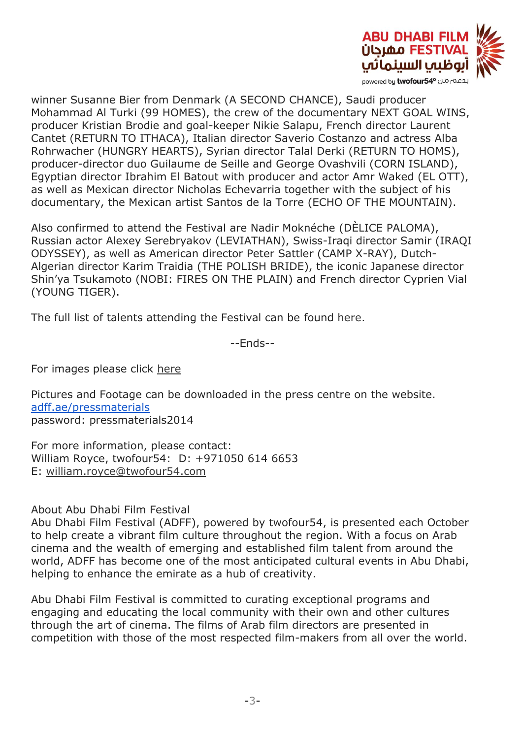

winner Susanne Bier from Denmark (A SECOND CHANCE), Saudi producer Mohammad Al Turki (99 HOMES), the crew of the documentary NEXT GOAL WINS, producer Kristian Brodie and goal-keeper Nikie Salapu, French director Laurent Cantet (RETURN TO ITHACA), Italian director Saverio Costanzo and actress Alba Rohrwacher (HUNGRY HEARTS), Syrian director Talal Derki (RETURN TO HOMS), producer-director duo Guilaume de Seille and George Ovashvili (CORN ISLAND), Egyptian director Ibrahim El Batout with producer and actor Amr Waked (EL OTT), as well as Mexican director Nicholas Echevarria together with the subject of his documentary, the Mexican artist Santos de la Torre (ECHO OF THE MOUNTAIN).

Also confirmed to attend the Festival are Nadir Moknéche (DÈLICE PALOMA), Russian actor Alexey Serebryakov (LEVIATHAN), Swiss-Iraqi director Samir (IRAQI ODYSSEY), as well as American director Peter Sattler (CAMP X-RAY), Dutch-Algerian director Karim Traidia (THE POLISH BRIDE), the iconic Japanese director Shin'ya Tsukamoto (NOBI: FIRES ON THE PLAIN) and French director Cyprien Vial (YOUNG TIGER).

The full list of talents attending the Festival can be found [here.](http://abudhabifilmfestival.us1.list-manage.com/track/click?u=99df6946124684fa19e13f586&id=057c26e801&e=5bf4684a98)

--Ends--

For images please click [here](http://abudhabifilmfestival.us1.list-manage1.com/track/click?u=99df6946124684fa19e13f586&id=9e1e3345bf&e=5bf4684a98)

Pictures and Footage can be downloaded in the press centre on the website. [adff.ae/pressmaterials](http://adff.ae/pressmaterials) password: pressmaterials2014

For more information, please contact: William Royce, twofour54: D: +971050 614 6653 E: [william.royce@twofour54.com](mailto:mawya.alqaissieh@twofour54.com)

## About Abu Dhabi Film Festival

Abu Dhabi Film Festival (ADFF), powered by twofour54, is presented each October to help create a vibrant film culture throughout the region. With a focus on Arab cinema and the wealth of emerging and established film talent from around the world, ADFF has become one of the most anticipated cultural events in Abu Dhabi, helping to enhance the emirate as a hub of creativity.

Abu Dhabi Film Festival is committed to curating exceptional programs and engaging and educating the local community with their own and other cultures through the art of cinema. The films of Arab film directors are presented in competition with those of the most respected film-makers from all over the world.